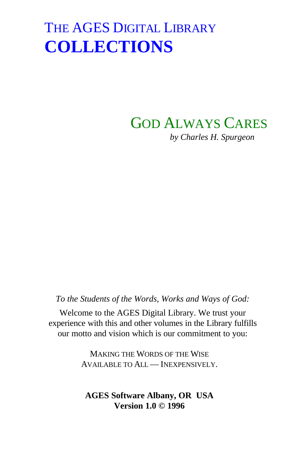#### GOD ALWAYS CARES *by Charles H. Spurgeon*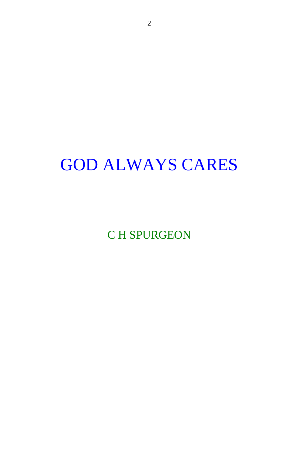# GOD ALWAYS CARES

C H SPURGEON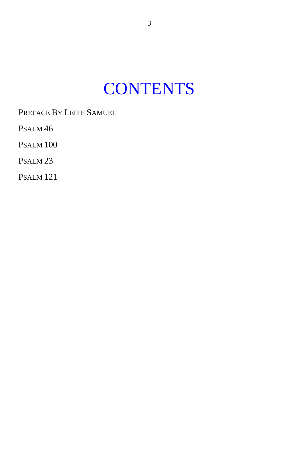# **CONTENTS**

PREFACE BY LEITH SAMUEL

PSALM 46

PSALM 100

PSALM 23

PSALM 121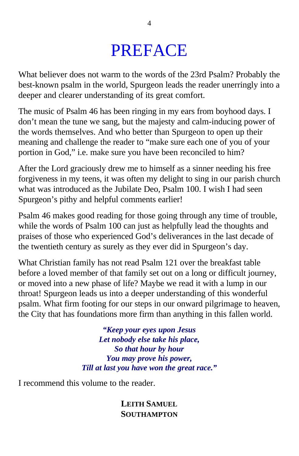### PREFACE

What believer does not warm to the words of the 23rd Psalm? Probably the best-known psalm in the world, Spurgeon leads the reader unerringly into a deeper and clearer understanding of its great comfort.

The music of Psalm 46 has been ringing in my ears from boyhood days. I don't mean the tune we sang, but the majesty and calm-inducing power of the words themselves. And who better than Spurgeon to open up their meaning and challenge the reader to "make sure each one of you of your portion in God," i.e. make sure you have been reconciled to him?

After the Lord graciously drew me to himself as a sinner needing his free forgiveness in my teens, it was often my delight to sing in our parish church what was introduced as the Jubilate Deo, Psalm 100. I wish I had seen Spurgeon's pithy and helpful comments earlier!

Psalm 46 makes good reading for those going through any time of trouble, while the words of Psalm 100 can just as helpfully lead the thoughts and praises of those who experienced God's deliverances in the last decade of the twentieth century as surely as they ever did in Spurgeon's day.

What Christian family has not read Psalm 121 over the breakfast table before a loved member of that family set out on a long or difficult journey, or moved into a new phase of life? Maybe we read it with a lump in our throat! Spurgeon leads us into a deeper understanding of this wonderful psalm. What firm footing for our steps in our onward pilgrimage to heaven, the City that has foundations more firm than anything in this fallen world.

> *"Keep your eyes upon Jesus Let nobody else take his place, So that hour by hour You may prove his power, Till at last you have won the great race."*

I recommend this volume to the reader.

**LEITH SAMUEL SOUTHAMPTON**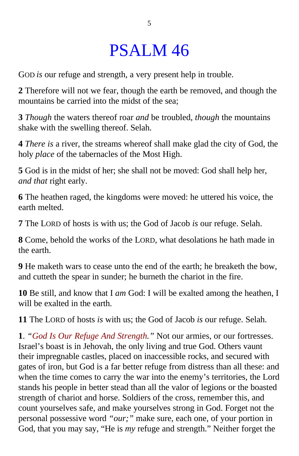# PSALM 46

GOD *is* our refuge and strength, a very present help in trouble.

**2** Therefore will not we fear, though the earth be removed, and though the mountains be carried into the midst of the sea;

**3** *Though* the waters thereof roar *and* be troubled, *though* the mountains shake with the swelling thereof. Selah.

**4** *There is* a river, the streams whereof shall make glad the city of God, the holy *place* of the tabernacles of the Most High.

**5** God is in the midst of her; she shall not be moved: God shall help her, *and that* right early.

**6** The heathen raged, the kingdoms were moved: he uttered his voice, the earth melted.

**7** The LORD of hosts is with us; the God of Jacob *is* our refuge. Selah.

**8** Come, behold the works of the LORD, what desolations he hath made in the earth.

**9** He maketh wars to cease unto the end of the earth; he breaketh the bow, and cutteth the spear in sunder; he burneth the chariot in the fire.

**10** Be still, and know that I *am* God: I will be exalted among the heathen, I will be exalted in the earth.

**11** The LORD of hosts *is* with us; the God of Jacob *is* our refuge. Selah.

**1**. *"God Is Our Refuge And Strength."* Not our armies, or our fortresses. Israel's boast is in Jehovah, the only living and true God. Others vaunt their impregnable castles, placed on inaccessible rocks, and secured with gates of iron, but God is a far better refuge from distress than all these: and when the time comes to carry the war into the enemy's territories, the Lord stands his people in better stead than all the valor of legions or the boasted strength of chariot and horse. Soldiers of the cross, remember this, and count yourselves safe, and make yourselves strong in God. Forget not the personal possessive word *"our;"* make sure, each one, of your portion in God, that you may say, "He is *my* refuge and strength." Neither forget the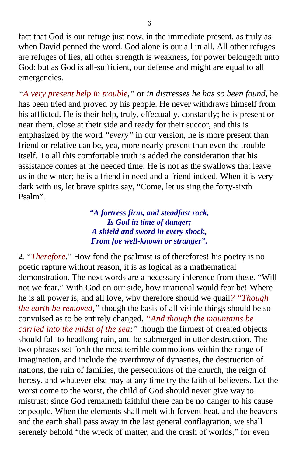fact that God is our refuge just now, in the immediate present, as truly as when David penned the word. God alone is our all in all. All other refuges are refuges of lies, all other strength is weakness, for power belongeth unto God: but as God is all-sufficient, our defense and might are equal to all emergencies.

*"A very present help in trouble,"* or *in distresses he has so been found,* he has been tried and proved by his people. He never withdraws himself from his afflicted. He is their help, truly, effectually, constantly; he is present or near them, close at their side and ready for their succor, and this is emphasized by the word *"every"* in our version, he is more present than friend or relative can be, yea, more nearly present than even the trouble itself. To all this comfortable truth is added the consideration that his assistance comes at the needed time. He is not as the swallows that leave us in the winter; he is a friend in need and a friend indeed. When it is very dark with us, let brave spirits say, "Come, let us sing the forty-sixth Psalm".

#### *"A fortress firm, and steadfast rock, Is God in time of danger; A shield and sword in every shock, From foe well-known or stranger".*

**2**. "*Therefore*." How fond the psalmist is of therefores! his poetry is no poetic rapture without reason, it is as logical as a mathematical demonstration. The next words are a necessary inference from these. "Will not we fear." With God on our side, how irrational would fear be! Where he is all power is, and all love, why therefore should we quail*? "Though the earth be removed,"* though the basis of all visible things should be so convulsed as to be entirely changed. *"And though the mountains be carried into the midst of the sea;"* though the firmest of created objects should fall to headlong ruin, and be submerged in utter destruction. The two phrases set forth the most terrible commotions within the range of imagination, and include the overthrow of dynasties, the destruction of nations, the ruin of families, the persecutions of the church, the reign of heresy, and whatever else may at any time try the faith of believers. Let the worst come to the worst, the child of God should never give way to mistrust; since God remaineth faithful there can be no danger to his cause or people. When the elements shall melt with fervent heat, and the heavens and the earth shall pass away in the last general conflagration, we shall serenely behold "the wreck of matter, and the crash of worlds," for even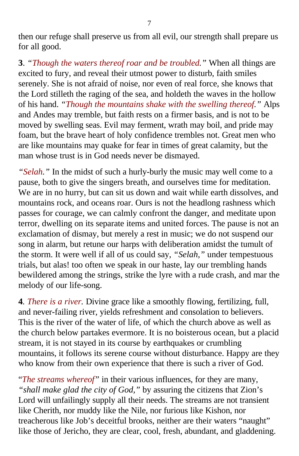then our refuge shall preserve us from all evil, our strength shall prepare us for all good.

**3**. *"Though the waters thereof roar and be troubled."* When all things are excited to fury, and reveal their utmost power to disturb, faith smiles serenely. She is not afraid of noise, nor even of real force, she knows that the Lord stilleth the raging of the sea, and holdeth the waves in the hollow of his hand. *"Though the mountains shake with the swelling thereof."* Alps and Andes may tremble, but faith rests on a firmer basis, and is not to be moved by swelling seas. Evil may ferment, wrath may boil, and pride may foam, but the brave heart of holy confidence trembles not. Great men who are like mountains may quake for fear in times of great calamity, but the man whose trust is in God needs never be dismayed.

*"Selah."* In the midst of such a hurly-burly the music may well come to a pause, both to give the singers breath, and ourselves time for meditation. We are in no hurry, but can sit us down and wait while earth dissolves, and mountains rock, and oceans roar. Ours is not the headlong rashness which passes for courage, we can calmly confront the danger, and meditate upon terror, dwelling on its separate items and united forces. The pause is not an exclamation of dismay, but merely a rest in music; we do not suspend our song in alarm, but retune our harps with deliberation amidst the tumult of the storm. It were well if all of us could say, *"Selah,"* under tempestuous trials, but alas! too often we speak in our haste, lay our trembling hands bewildered among the strings, strike the lyre with a rude crash, and mar the melody of our life-song.

**4***. There is a river.* Divine grace like a smoothly flowing, fertilizing, full, and never-failing river, yields refreshment and consolation to believers. This is the river of the water of life, of which the church above as well as the church below partakes evermore. It is no boisterous ocean, but a placid stream, it is not stayed in its course by earthquakes or crumbling mountains, it follows its serene course without disturbance. Happy are they who know from their own experience that there is such a river of God.

"*The streams whereof"* in their various influences, for they are many, *"shall make glad the city of God,"* by assuring the citizens that Zion's Lord will unfailingly supply all their needs. The streams are not transient like Cherith, nor muddy like the Nile, nor furious like Kishon, nor treacherous like Job's deceitful brooks, neither are their waters "naught" like those of Jericho, they are clear, cool, fresh, abundant, and gladdening.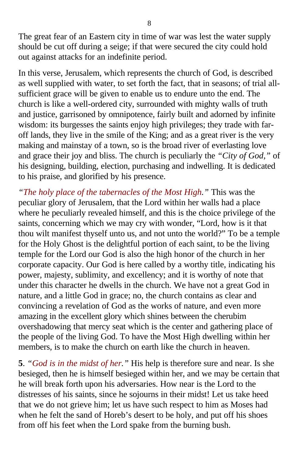The great fear of an Eastern city in time of war was lest the water supply should be cut off during a seige; if that were secured the city could hold out against attacks for an indefinite period.

In this verse, Jerusalem, which represents the church of God, is described as well supplied with water, to set forth the fact, that in seasons; of trial allsufficient grace will be given to enable us to endure unto the end. The church is like a well-ordered city, surrounded with mighty walls of truth and justice, garrisoned by omnipotence, fairly built and adorned by infinite wisdom: its burgesses the saints enjoy high privileges; they trade with faroff lands, they live in the smile of the King; and as a great river is the very making and mainstay of a town, so is the broad river of everlasting love and grace their joy and bliss. The church is peculiarly the *"City of God,"* of his designing, building, election, purchasing and indwelling. It is dedicated to his praise, and glorified by his presence.

*"The holy place of the tabernacles of the Most High."* This was the peculiar glory of Jerusalem, that the Lord within her walls had a place where he peculiarly revealed himself, and this is the choice privilege of the saints, concerning which we may cry with wonder, "Lord, how is it that thou wilt manifest thyself unto us, and not unto the world?" To be a temple for the Holy Ghost is the delightful portion of each saint, to be the living temple for the Lord our God is also the high honor of the church in her corporate capacity. Our God is here called by a worthy title, indicating his power, majesty, sublimity, and excellency; and it is worthy of note that under this character he dwells in the church. We have not a great God in nature, and a little God in grace; no, the church contains as clear and convincing a revelation of God as the works of nature, and even more amazing in the excellent glory which shines between the cherubim overshadowing that mercy seat which is the center and gathering place of the people of the living God. To have the Most High dwelling within her members, is to make the church on earth like the church in heaven.

**5**. *"God is in the midst of her."* His help is therefore sure and near. Is she besieged, then he is himself besieged within her, and we may be certain that he will break forth upon his adversaries. How near is the Lord to the distresses of his saints, since he sojourns in their midst! Let us take heed that we do not grieve him; let us have such respect to him as Moses had when he felt the sand of Horeb's desert to be holy, and put off his shoes from off his feet when the Lord spake from the burning bush.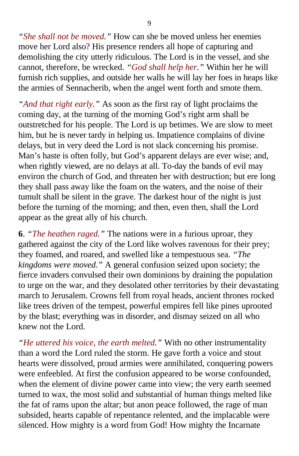*"She shall not be moved."* How can she be moved unless her enemies move her Lord also? His presence renders all hope of capturing and demolishing the city utterly ridiculous. The Lord is in the vessel, and she cannot, therefore, be wrecked. *"God shall help her."* Within her he will furnish rich supplies, and outside her walls he will lay her foes in heaps like the armies of Sennacherib, when the angel went forth and smote them.

*"And that right early."* As soon as the first ray of light proclaims the coming day, at the turning of the morning God's right arm shall be outstretched for his people. The Lord is up betimes. We are slow to meet him, but he is never tardy in helping us. Impatience complains of divine delays, but in very deed the Lord is not slack concerning his promise. Man's haste is often folly, but God's apparent delays are ever wise; and, when rightly viewed, are no delays at all. To-day the bands of evil may environ the church of God, and threaten her with destruction; but ere long they shall pass away like the foam on the waters, and the noise of their tumult shall be silent in the grave. The darkest hour of the night is just before the turning of the morning; and then, even then, shall the Lord appear as the great ally of his church.

**6**. *"The heathen raged."* The nations were in a furious uproar, they gathered against the city of the Lord like wolves ravenous for their prey; they foamed, and roared, and swelled like a tempestuous sea. *"The kingdoms were moved."* A general confusion seized upon society; the fierce invaders convulsed their own dominions by draining the population to urge on the war, and they desolated other territories by their devastating march to Jerusalem. Crowns fell from royal heads, ancient thrones rocked like trees driven of the tempest, powerful empires fell like pines uprooted by the blast; everything was in disorder, and dismay seized on all who knew not the Lord.

*"He uttered his voice, the earth melted."* With no other instrumentality than a word the Lord ruled the storm. He gave forth a voice and stout hearts were dissolved, proud armies were annihilated, conquering powers were enfeebled. At first the confusion appeared to be worse confounded, when the element of divine power came into view; the very earth seemed turned to wax, the most solid and substantial of human things melted like the fat of rams upon the altar; but anon peace followed, the rage of man subsided, hearts capable of repentance relented, and the implacable were silenced. How mighty is a word from God! How mighty the Incarnate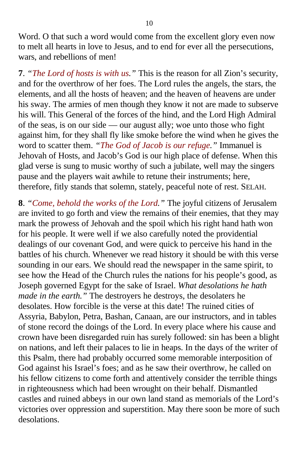Word. O that such a word would come from the excellent glory even now to melt all hearts in love to Jesus, and to end for ever all the persecutions, wars, and rebellions of men!

**7**. *"The Lord of hosts is with us."* This is the reason for all Zion's security, and for the overthrow of her foes. The Lord rules the angels, the stars, the elements, and all the hosts of heaven; and the heaven of heavens are under his sway. The armies of men though they know it not are made to subserve his will. This General of the forces of the hind, and the Lord High Admiral of the seas, is on our side — our august ally; woe unto those who fight against him, for they shall fly like smoke before the wind when he gives the word to scatter them. *"The God of Jacob is our refuge."* Immanuel is Jehovah of Hosts, and Jacob's God is our high place of defense. When this glad verse is sung to music worthy of such a jubilate, well may the singers pause and the players wait awhile to retune their instruments; here, therefore, fitly stands that solemn, stately, peaceful note of rest. SELAH.

**8**. *"Come, behold the works of the Lord."* The joyful citizens of Jerusalem are invited to go forth and view the remains of their enemies, that they may mark the prowess of Jehovah and the spoil which his right hand hath won for his people. It were well if we also carefully noted the providential dealings of our covenant God, and were quick to perceive his hand in the battles of his church. Whenever we read history it should be with this verse sounding in our ears. We should read the newspaper in the same spirit, to see how the Head of the Church rules the nations for his people's good, as Joseph governed Egypt for the sake of Israel. *What desolations he hath made in the earth."* The destroyers he destroys, the desolaters he desolates. How forcible is the verse at this date! The ruined cities of Assyria, Babylon, Petra, Bashan, Canaan, are our instructors, and in tables of stone record the doings of the Lord. In every place where his cause and crown have been disregarded ruin has surely followed: sin has been a blight on nations, and left their palaces to lie in heaps. In the days of the writer of this Psalm, there had probably occurred some memorable interposition of God against his Israel's foes; and as he saw their overthrow, he called on his fellow citizens to come forth and attentively consider the terrible things in righteousness which had been wrought on their behalf. Dismantled castles and ruined abbeys in our own land stand as memorials of the Lord's victories over oppression and superstition. May there soon be more of such desolations.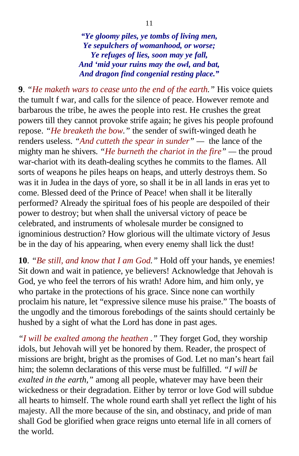*"Ye gloomy piles, ye tombs of living men, Ye sepulchers of womanhood, or worse; Ye refuges of lies, soon may ye fall, And 'mid your ruins may the owl, and bat, And dragon find congenial resting place."*

**9**. *"He maketh wars to cease unto the end of the earth."* His voice quiets the tumult f war, and calls for the silence of peace. However remote and barbarous the tribe, he awes the people into rest. He crushes the great powers till they cannot provoke strife again; he gives his people profound repose. *"He breaketh the bow."* the sender of swift-winged death he renders useless. *"And cutteth the spear in sunder" —* the lance of the mighty man he shivers. *"He burneth the chariot in the fire" —* the proud war-chariot with its death-dealing scythes he commits to the flames. All sorts of weapons he piles heaps on heaps, and utterly destroys them. So was it in Judea in the days of yore, so shall it be in all lands in eras yet to come. Blessed deed of the Prince of Peace! when shall it be literally performed? Already the spiritual foes of his people are despoiled of their power to destroy; but when shall the universal victory of peace be celebrated, and instruments of wholesale murder be consigned to ignominious destruction? How glorious will the ultimate victory of Jesus be in the day of his appearing, when every enemy shall lick the dust!

**10**. *"Be still, and know that I am God."* Hold off your hands, ye enemies! Sit down and wait in patience, ye believers! Acknowledge that Jehovah is God, ye who feel the terrors of his wrath! Adore him, and him only, ye who partake in the protections of his grace. Since none can worthily proclaim his nature, let "expressive silence muse his praise." The boasts of the ungodly and the timorous forebodings of the saints should certainly be hushed by a sight of what the Lord has done in past ages.

*"I will be exalted among the heathen ."* They forget God, they worship idols, but Jehovah will yet be honored by them. Reader, the prospect of missions are bright, bright as the promises of God. Let no man's heart fail him; the solemn declarations of this verse must be fulfilled. *"I will be exalted in the earth,"* among all people, whatever may have been their wickedness or their degradation. Either by terror or love God will subdue all hearts to himself. The whole round earth shall yet reflect the light of his majesty. All the more because of the sin, and obstinacy, and pride of man shall God be glorified when grace reigns unto eternal life in all corners of the world.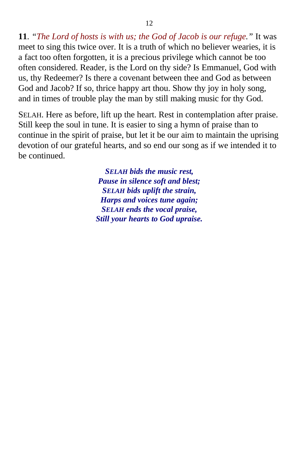**11**. *"The Lord of hosts is with us; the God of Jacob is our refuge."* It was meet to sing this twice over. It is a truth of which no believer wearies, it is a fact too often forgotten, it is a precious privilege which cannot be too often considered. Reader, is the Lord on thy side? Is Emmanuel, God with us, thy Redeemer? Is there a covenant between thee and God as between God and Jacob? If so, thrice happy art thou. Show thy joy in holy song, and in times of trouble play the man by still making music for thy God.

SELAH. Here as before, lift up the heart. Rest in contemplation after praise. Still keep the soul in tune. It is easier to sing a hymn of praise than to continue in the spirit of praise, but let it be our aim to maintain the uprising devotion of our grateful hearts, and so end our song as if we intended it to be continued.

> *SELAH bids the music rest, Pause in silence soft and blest; SELAH bids uplift the strain, Harps and voices tune again; SELAH ends the vocal praise, Still your hearts to God upraise.*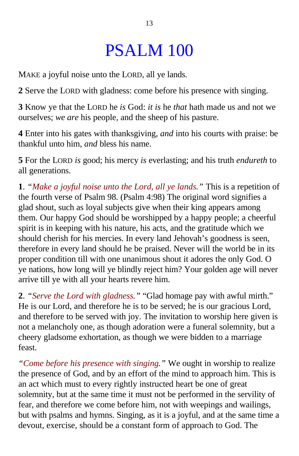# PSALM 100

MAKE a joyful noise unto the LORD, all ye lands.

**2** Serve the LORD with gladness: come before his presence with singing.

**3** Know ye that the LORD he *is* God: *it is* he *that* hath made us and not we ourselves; *we are* his people, and the sheep of his pasture.

**4** Enter into his gates with thanksgiving, *and* into his courts with praise: be thankful unto him, *and* bless his name.

**5** For the LORD *is* good; his mercy *is* everlasting; and his truth *endureth* to all generations.

**1**. *"Make a joyful noise unto the Lord, all ye lands."* This is a repetition of the fourth verse of Psalm 98. (Psalm 4:98) The original word signifies a glad shout, such as loyal subjects give when their king appears among them. Our happy God should be worshipped by a happy people; a cheerful spirit is in keeping with his nature, his acts, and the gratitude which we should cherish for his mercies. In every land Jehovah's goodness is seen, therefore in every land should he be praised. Never will the world be in its proper condition till with one unanimous shout it adores the only God. O ye nations, how long will ye blindly reject him? Your golden age will never arrive till ye with all your hearts revere him.

**2**. *"Serve the Lord with gladness."* "Glad homage pay with awful mirth." He is our Lord, and therefore he is to be served; he is our gracious Lord, and therefore to be served with joy. The invitation to worship here given is not a melancholy one, as though adoration were a funeral solemnity, but a cheery gladsome exhortation, as though we were bidden to a marriage feast.

*"Come before his presence with singing."* We ought in worship to realize the presence of God, and by an effort of the mind to approach him. This is an act which must to every rightly instructed heart be one of great solemnity, but at the same time it must not be performed in the servility of fear, and therefore we come before him, not with weepings and wailings, but with psalms and hymns. Singing, as it is a joyful, and at the same time a devout, exercise, should be a constant form of approach to God. The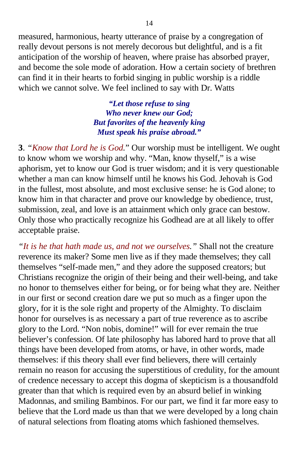measured, harmonious, hearty utterance of praise by a congregation of really devout persons is not merely decorous but delightful, and is a fit anticipation of the worship of heaven, where praise has absorbed prayer, and become the sole mode of adoration. How a certain society of brethren can find it in their hearts to forbid singing in public worship is a riddle which we cannot solve. We feel inclined to say with Dr. Watts

> *"Let those refuse to sing Who never knew our God; But favorites of the heavenly king Must speak his praise abroad."*

**3**. *"Know that Lord he is God.*" Our worship must be intelligent. We ought to know whom we worship and why. "Man, know thyself," is a wise aphorism, yet to know our God is truer wisdom; and it is very questionable whether a man can know himself until he knows his God. Jehovah is God in the fullest, most absolute, and most exclusive sense: he is God alone; to know him in that character and prove our knowledge by obedience, trust, submission, zeal, and love is an attainment which only grace can bestow. Only those who practically recognize his Godhead are at all likely to offer acceptable praise.

*"It is he that hath made us, and not we ourselves."* Shall not the creature reverence its maker? Some men live as if they made themselves; they call themselves "self-made men," and they adore the supposed creators; but Christians recognize the origin of their being and their well-being, and take no honor to themselves either for being, or for being what they are. Neither in our first or second creation dare we put so much as a finger upon the glory, for it is the sole right and property of the Almighty. To disclaim honor for ourselves is as necessary a part of true reverence as to ascribe glory to the Lord. "Non nobis, domine!" will for ever remain the true believer's confession. Of late philosophy has labored hard to prove that all things have been developed from atoms, or have, in other words, made themselves: if this theory shall ever find believers, there will certainly remain no reason for accusing the superstitious of credulity, for the amount of credence necessary to accept this dogma of skepticism is a thousandfold greater than that which is required even by an absurd belief in winking Madonnas, and smiling Bambinos. For our part, we find it far more easy to believe that the Lord made us than that we were developed by a long chain of natural selections from floating atoms which fashioned themselves.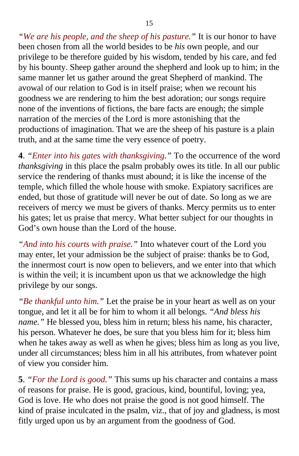*"We are his people, and the sheep of his pasture."* It is our honor to have been chosen from all the world besides to be *his* own people, and our privilege to be therefore guided by his wisdom, tended by his care, and fed by his bounty. Sheep gather around the shepherd and look up to him; in the same manner let us gather around the great Shepherd of mankind. The avowal of our relation to God is in itself praise; when we recount his goodness we are rendering to him the best adoration; our songs require none of the inventions of fictions, the bare facts are enough; the simple narration of the mercies of the Lord is more astonishing that the productions of imagination. That we are the sheep of his pasture is a plain truth, and at the same time the very essence of poetry.

**4**. *"Enter into his gates with thanksgiving."* To the occurrence of the word *thanksgiving* in this place the psalm probably owes its title. In all our public service the rendering of thanks must abound; it is like the incense of the temple, which filled the whole house with smoke. Expiatory sacrifices are ended, but those of gratitude will never be out of date. So long as we are receivers of mercy we must be givers of thanks. Mercy permits us to enter his gates; let us praise that mercy. What better subject for our thoughts in God's own house than the Lord of the house.

*"And into his courts with praise."* Into whatever court of the Lord you may enter, let your admission be the subject of praise: thanks be to God, the innermost court is now open to believers, and we enter into that which is within the veil; it is incumbent upon us that we acknowledge the high privilege by our songs.

*"Be thankful unto him."* Let the praise be in your heart as well as on your tongue, and let it all be for him to whom it all belongs. *"And bless his name.*" He blessed you, bless him in return; bless his name, his character, his person. Whatever he does, be sure that you bless him for it; bless him when he takes away as well as when he gives; bless him as long as you live, under all circumstances; bless him in all his attributes, from whatever point of view you consider him.

**5**. *"For the Lord is good."* This sums up his character and contains a mass of reasons for praise. He is good, gracious, kind, bountiful, loving; yea, God is love. He who does not praise the good is not good himself. The kind of praise inculcated in the psalm, viz., that of joy and gladness, is most fitly urged upon us by an argument from the goodness of God.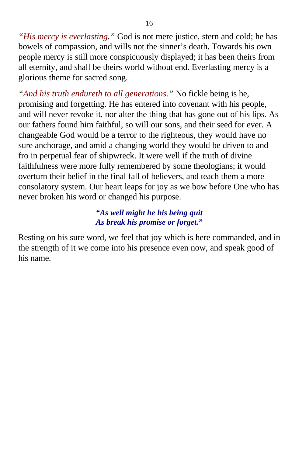*"His mercy is everlasting."* God is not mere justice, stern and cold; he has bowels of compassion, and wills not the sinner's death. Towards his own people mercy is still more conspicuously displayed; it has been theirs from all eternity, and shall be theirs world without end. Everlasting mercy is a glorious theme for sacred song.

*"And his truth endureth to all generations."* No fickle being is he, promising and forgetting. He has entered into covenant with his people, and will never revoke it, nor alter the thing that has gone out of his lips. As our fathers found him faithful, so will our sons, and their seed for ever. A changeable God would be a terror to the righteous, they would have no sure anchorage, and amid a changing world they would be driven to and fro in perpetual fear of shipwreck. It were well if the truth of divine faithfulness were more fully remembered by some theologians; it would overturn their belief in the final fall of believers, and teach them a more consolatory system. Our heart leaps for joy as we bow before One who has never broken his word or changed his purpose.

#### *"As well might he his being quit As break his promise or forget."*

Resting on his sure word, we feel that joy which is here commanded, and in the strength of it we come into his presence even now, and speak good of his name.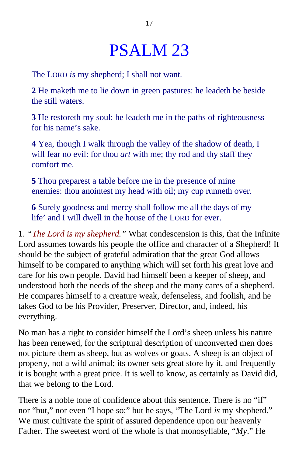# PSALM 23

The LORD *is* my shepherd; I shall not want.

**2** He maketh me to lie down in green pastures: he leadeth be beside the still waters.

**3** He restoreth my soul: he leadeth me in the paths of righteousness for his name's sake.

**4** Yea, though I walk through the valley of the shadow of death, I will fear no evil: for thou *art* with me; thy rod and thy staff they comfort me.

**5** Thou preparest a table before me in the presence of mine enemies: thou anointest my head with oil; my cup runneth over.

**6** Surely goodness and mercy shall follow me all the days of my life' and I will dwell in the house of the LORD for ever.

**1**. *"The Lord is my shepherd."* What condescension is this, that the Infinite Lord assumes towards his people the office and character of a Shepherd! It should be the subject of grateful admiration that the great God allows himself to be compared to anything which will set forth his great love and care for his own people. David had himself been a keeper of sheep, and understood both the needs of the sheep and the many cares of a shepherd. He compares himself to a creature weak, defenseless, and foolish, and he takes God to be his Provider, Preserver, Director, and, indeed, his everything.

No man has a right to consider himself the Lord's sheep unless his nature has been renewed, for the scriptural description of unconverted men does not picture them as sheep, but as wolves or goats. A sheep is an object of property, not a wild animal; its owner sets great store by it, and frequently it is bought with a great price. It is well to know, as certainly as David did, that we belong to the Lord.

There is a noble tone of confidence about this sentence. There is no "if" nor "but," nor even "I hope so;" but he says, "The Lord *is* my shepherd." We must cultivate the spirit of assured dependence upon our heavenly Father. The sweetest word of the whole is that monosyllable, "*My*." He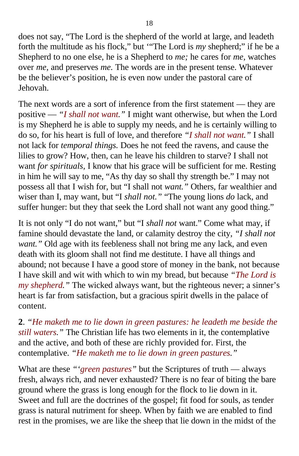does not say, "The Lord is the shepherd of the world at large, and leadeth forth the multitude as his flock," but '"The Lord is *my* shepherd;" if he be a Shepherd to no one else, he is a Shepherd to *me;* he cares for *me,* watches over *me,* and preserves *me.* The words are in the present tense. Whatever be the believer's position, he is even now under the pastoral care of Jehovah.

The next words are a sort of inference from the first statement — they are positive — *"I shall not want."* I might want otherwise, but when the Lord is my Shepherd he is able to supply my needs, and he is certainly willing to do so, for his heart is full of love, and therefore *"I shall not want."* I shall not lack for *temporal things.* Does he not feed the ravens, and cause the lilies to grow? How, then, can he leave his children to starve? I shall not want *for spirituals,* I know that his grace will be sufficient for me. Resting in him he will say to me, "As thy day so shall thy strength be." I may not possess all that I wish for, but "I shall not *want."* Others, far wealthier and wiser than I, may want, but "I *shall not."* "The young lions *do* lack, and suffer hunger: but they that seek the Lord shall not want any good thing."

It is not only "I do not want," but "I *shall not* want." Come what may, if famine should devastate the land, or calamity destroy the city, *"I shall not want."* Old age with its feebleness shall not bring me any lack, and even death with its gloom shall not find me destitute. I have all things and abound; not because I have a good store of money in the bank, not because I have skill and wit with which to win my bread, but because *"The Lord is my shepherd."* The wicked always want, but the righteous never; a sinner's heart is far from satisfaction, but a gracious spirit dwells in the palace of content.

**2**. *"He maketh me to lie down in green pastures: he leadeth me beside the still waters."* The Christian life has two elements in it, the contemplative and the active, and both of these are richly provided for. First, the contemplative. *"He maketh me to lie down in green pastures."*

What are these *"'green pastures"* but the Scriptures of truth — always fresh, always rich, and never exhausted? There is no fear of biting the bare ground where the grass is long enough for the flock to lie down in it. Sweet and full are the doctrines of the gospel; fit food for souls, as tender grass is natural nutriment for sheep. When by faith we are enabled to find rest in the promises, we are like the sheep that lie down in the midst of the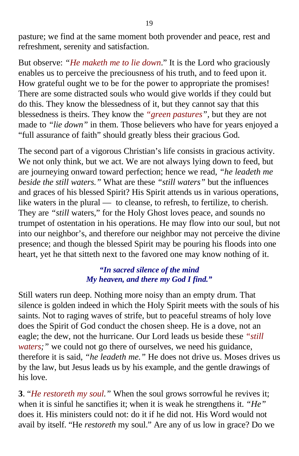pasture; we find at the same moment both provender and peace, rest and refreshment, serenity and satisfaction.

But observe: *"He maketh me to lie down*." It is the Lord who graciously enables us to perceive the preciousness of his truth, and to feed upon it. How grateful ought we to be for the power to appropriate the promises! There are some distracted souls who would give worlds if they could but do this. They know the blessedness of it, but they cannot say that this blessedness is theirs. They know the *"green pastures",* but they are not made to *"lie down"* in them. Those believers who have for years enjoyed a "full assurance of faith" should greatly bless their gracious God.

The second part of a vigorous Christian's life consists in gracious activity. We not only think, but we act. We are not always lying down to feed, but are journeying onward toward perfection; hence we read, *"he leadeth me beside the still waters."* What are these *"still waters"* but the influences and graces of his blessed Spirit? His Spirit attends us in various operations, like waters in the plural — to cleanse, to refresh, to fertilize, to cherish. They are *"still* waters," for the Holy Ghost loves peace, and sounds no trumpet of ostentation in his operations. He may flow into our soul, but not into our neighbor's, and therefore our neighbor may not perceive the divine presence; and though the blessed Spirit may be pouring his floods into one heart, yet he that sitteth next to the favored one may know nothing of it.

#### *"In sacred silence of the mind My heaven, and there my God I find."*

Still waters run deep. Nothing more noisy than an empty drum. That silence is golden indeed in which the Holy Spirit meets with the souls of his saints. Not to raging waves of strife, but to peaceful streams of holy love does the Spirit of God conduct the chosen sheep. He is a dove, not an eagle; the dew, not the hurricane. Our Lord leads us beside these *"still waters;"* we could not go there of ourselves, we need his guidance, therefore it is said, *"he leadeth me."* He does not drive us. Moses drives us by the law, but Jesus leads us by his example, and the gentle drawings of his love.

**3**. "*He restoreth my soul."* When the soul grows sorrowful he revives it; when it is sinful he sanctifies it; when it is weak he strengthens it. *"He"* does it. His ministers could not: do it if he did not. His Word would not avail by itself. "He *restoreth* my soul." Are any of us low in grace? Do we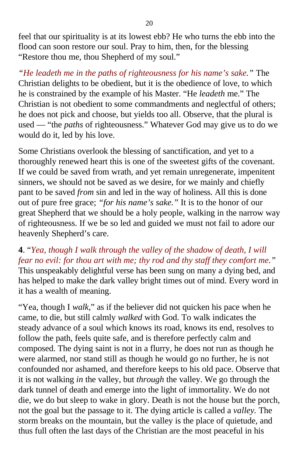feel that our spirituality is at its lowest ebb? He who turns the ebb into the flood can soon restore our soul. Pray to him, then, for the blessing "Restore thou me, thou Shepherd of my soul."

*"He leadeth me in the paths of righteousness for his name's sake."* The Christian delights to be obedient, but it is the obedience of love, to which he is constrained by the example of his Master. "He *leadeth* me." The Christian is not obedient to some commandments and neglectful of others; he does not pick and choose, but yields too all. Observe, that the plural is used — "the *paths* of righteousness." Whatever God may give us to do we would do it, led by his love.

Some Christians overlook the blessing of sanctification, and yet to a thoroughly renewed heart this is one of the sweetest gifts of the covenant. If we could be saved from wrath, and yet remain unregenerate, impenitent sinners, we should not be saved as we desire, for we mainly and chiefly pant to be saved *from* sin and led in the way of holiness. All this is done out of pure free grace; *"for his name's sake."* It is to the honor of our great Shepherd that we should be a holy people, walking in the narrow way of righteousness. If we be so led and guided we must not fail to adore our heavenly Shepherd's care.

#### **4**. "*Yea, though I walk through the valley of the shadow of death, I will fear no evil: for thou art with me; thy rod and thy staff they comfort me."* This unspeakably delightful verse has been sung on many a dying bed, and has helped to make the dark valley bright times out of mind. Every word in it has a wealth of meaning.

"Yea, though I *walk*," as if the believer did not quicken his pace when he came, to die, but still calmly *walked* with God. To walk indicates the steady advance of a soul which knows its road, knows its end, resolves to follow the path, feels quite safe, and is therefore perfectly calm and composed. The dying saint is not in a flurry, he does not run as though he were alarmed, nor stand still as though he would go no further, he is not confounded nor ashamed, and therefore keeps to his old pace. Observe that it is not walking *in* the valley, but *through* the valley. We go through the dark tunnel of death and emerge into the light of immortality. We do not die, we do but sleep to wake in glory. Death is not the house but the porch, not the goal but the passage to it. The dying article is called a *valley.* The storm breaks on the mountain, but the valley is the place of quietude, and thus full often the last days of the Christian are the most peaceful in his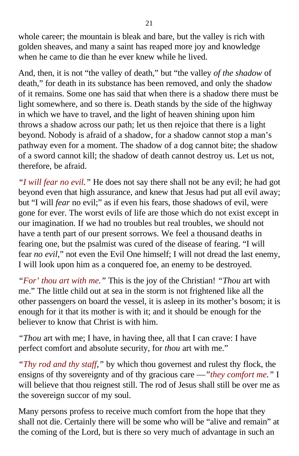whole career; the mountain is bleak and bare, but the valley is rich with golden sheaves, and many a saint has reaped more joy and knowledge when he came to die than he ever knew while he lived.

And, then, it is not "the valley of death," but "the valley *of the shadow* of death," for death in its substance has been removed, and only the shadow of it remains. Some one has said that when there is a shadow there must be light somewhere, and so there is. Death stands by the side of the highway in which we have to travel, and the light of heaven shining upon him throws a shadow across our path; let us then rejoice that there is a light beyond. Nobody is afraid of a shadow, for a shadow cannot stop a man's pathway even for a moment. The shadow of a dog cannot bite; the shadow of a sword cannot kill; the shadow of death cannot destroy us. Let us not, therefore, be afraid.

*"I will fear no evil."* He does not say there shall not be any evil; he had got beyond even that high assurance, and knew that Jesus had put all evil away; but "I will *fear* no evil;" as if even his fears, those shadows of evil, were gone for ever. The worst evils of life are those which do not exist except in our imagination. If we had no troubles but real troubles, we should not have a tenth part of our present sorrows. We feel a thousand deaths in fearing one, but the psalmist was cured of the disease of fearing. "I will fear *no evil,*" not even the Evil One himself; I will not dread the last enemy, I will look upon him as a conquered foe, an enemy to be destroyed.

*"For' thou art with me."* This is the joy of the Christian! *"Thou* art with me." The little child out at sea in the storm is not frightened like all the other passengers on board the vessel, it is asleep in its mother's bosom; it is enough for it that its mother is with it; and it should be enough for the believer to know that Christ is with him.

*"Thou* art with me; I have, in having thee, all that I can crave: I have perfect comfort and absolute security, for *thou* art with me."

*"Thy rod and thy staff,"* by which thou governest and rulest thy flock, the ensigns of thy sovereignty and of thy gracious care —*"they comfort me."* I will believe that thou reignest still. The rod of Jesus shall still be over me as the sovereign succor of my soul.

Many persons profess to receive much comfort from the hope that they shall not die. Certainly there will be some who will be "alive and remain" at the coming of the Lord, but is there so very much of advantage in such an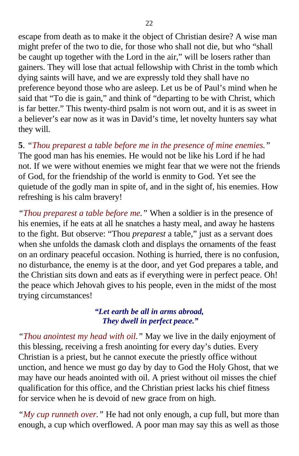escape from death as to make it the object of Christian desire? A wise man might prefer of the two to die, for those who shall not die, but who "shall be caught up together with the Lord in the air," will be losers rather than gainers. They will lose that actual fellowship with Christ in the tomb which dying saints will have, and we are expressly told they shall have no preference beyond those who are asleep. Let us be of Paul's mind when he said that "To die is gain," and think of "departing to be with Christ, which is far better." This twenty-third psalm is not worn out, and it is as sweet in a believer's ear now as it was in David's time, let novelty hunters say what they will.

**5**. *"Thou preparest a table before me in the presence of mine enemies."* The good man has his enemies. He would not be like his Lord if he had not. If we were without enemies we might fear that we were not the friends of God, for the friendship of the world is enmity to God. Yet see the quietude of the godly man in spite of, and in the sight of, his enemies. How refreshing is his calm bravery!

*"Thou preparest a table before me."* When a soldier is in the presence of his enemies, if he eats at all he snatches a hasty meal, and away he hastens to the fight. But observe: "Thou *preparest* a table," just as a servant does when she unfolds the damask cloth and displays the ornaments of the feast on an ordinary peaceful occasion. Nothing is hurried, there is no confusion, no disturbance, the enemy is at the door, and yet God prepares a table, and the Christian sits down and eats as if everything were in perfect peace. Oh! the peace which Jehovah gives to his people, even in the midst of the most trying circumstances!

#### *"Let earth be all in arms abroad, They dwell in perfect peace."*

*"Thou anointest my head with oil."* May we live in the daily enjoyment of this blessing, receiving a fresh anointing for every day's duties. Every Christian is a priest, but he cannot execute the priestly office without unction, and hence we must go day by day to God the Holy Ghost, that we may have our heads anointed with oil. A priest without oil misses the chief qualification for this office, and the Christian priest lacks his chief fitness for service when he is devoid of new grace from on high.

*"My cup runneth over."* He had not only enough, a cup full, but more than enough, a cup which overflowed. A poor man may say this as well as those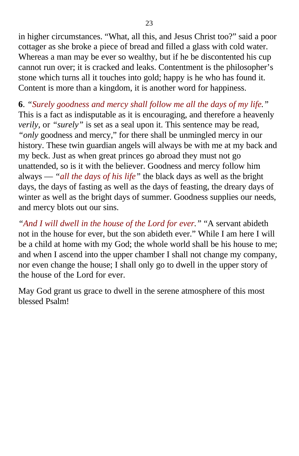in higher circumstances. "What, all this, and Jesus Christ too?" said a poor cottager as she broke a piece of bread and filled a glass with cold water. Whereas a man may be ever so wealthy, but if he be discontented his cup cannot run over; it is cracked and leaks. Contentment is the philosopher's stone which turns all it touches into gold; happy is he who has found it. Content is more than a kingdom, it is another word for happiness.

**6**. *"Surely goodness and mercy shall follow me all the days of my life."* This is a fact as indisputable as it is encouraging, and therefore a heavenly *verily,* or *"surely"* is set as a seal upon it. This sentence may be read, *"only* goodness and mercy," for there shall be unmingled mercy in our history. These twin guardian angels will always be with me at my back and my beck. Just as when great princes go abroad they must not go unattended, so is it with the believer. Goodness and mercy follow him always — *"all the days of his life"* the black days as well as the bright days, the days of fasting as well as the days of feasting, the dreary days of winter as well as the bright days of summer. Goodness supplies our needs, and mercy blots out our sins.

*"And I will dwell in the house of the Lord for ever."* "A servant abideth not in the house for ever, but the son abideth ever." While I am here I will be a child at home with my God; the whole world shall be his house to me; and when I ascend into the upper chamber I shall not change my company, nor even change the house; I shall only go to dwell in the upper story of the house of the Lord for ever.

May God grant us grace to dwell in the serene atmosphere of this most blessed Psalm!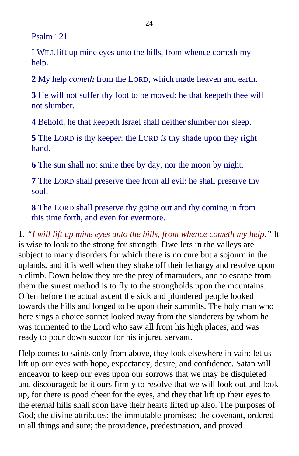Psalm 121

I WILL lift up mine eyes unto the hills, from whence cometh my help.

**2** My help *cometh* from the LORD, which made heaven and earth.

**3** He will not suffer thy foot to be moved: he that keepeth thee will not slumber.

**4** Behold, he that keepeth Israel shall neither slumber nor sleep.

**5** The LORD *is* thy keeper: the LORD *is* thy shade upon they right hand.

**6** The sun shall not smite thee by day, nor the moon by night.

**7** The LORD shall preserve thee from all evil: he shall preserve thy soul.

**8** The LORD shall preserve thy going out and thy coming in from this time forth, and even for evermore.

**1**. *"I will lift up mine eyes unto the hills, from whence cometh my help."* It is wise to look to the strong for strength. Dwellers in the valleys are subject to many disorders for which there is no cure but a sojourn in the uplands, and it is well when they shake off their lethargy and resolve upon a climb. Down below they are the prey of marauders, and to escape from them the surest method is to fly to the strongholds upon the mountains. Often before the actual ascent the sick and plundered people looked towards the hills and longed to be upon their summits. The holy man who here sings a choice sonnet looked away from the slanderers by whom he was tormented to the Lord who saw all from his high places, and was ready to pour down succor for his injured servant.

Help comes to saints only from above, they look elsewhere in vain: let us lift up our eyes with hope, expectancy, desire, and confidence. Satan will endeavor to keep our eyes upon our sorrows that we may be disquieted and discouraged; be it ours firmly to resolve that we will look out and look up, for there is good cheer for the eyes, and they that lift up their eyes to the eternal hills shall soon have their hearts lifted up also. The purposes of God; the divine attributes; the immutable promises; the covenant, ordered in all things and sure; the providence, predestination, and proved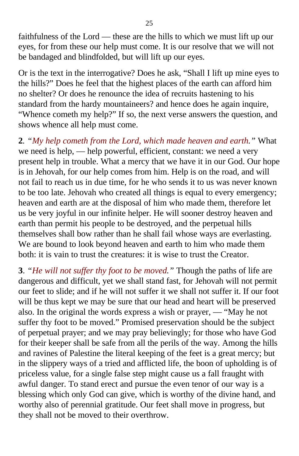faithfulness of the Lord — these are the hills to which we must lift up our eyes, for from these our help must come. It is our resolve that we will not be bandaged and blindfolded, but will lift up our eyes.

Or is the text in the interrogative? Does he ask, "Shall I lift up mine eyes to the hills?" Does he feel that the highest places of the earth can afford him no shelter? Or does he renounce the idea of recruits hastening to his standard from the hardy mountaineers? and hence does he again inquire, "Whence cometh my help?" If so, the next verse answers the question, and shows whence all help must come.

**2***. "My help cometh from the Lord, which made heaven and earth."* What we need is help, — help powerful, efficient, constant: we need a very present help in trouble. What a mercy that we have it in our God. Our hope is in Jehovah, for our help comes from him. Help is on the road, and will not fail to reach us in due time, for he who sends it to us was never known to be too late. Jehovah who created all things is equal to every emergency; heaven and earth are at the disposal of him who made them, therefore let us be very joyful in our infinite helper. He will sooner destroy heaven and earth than permit his people to be destroyed, and the perpetual hills themselves shall bow rather than he shall fail whose ways are everlasting. We are bound to look beyond heaven and earth to him who made them both: it is vain to trust the creatures: it is wise to trust the Creator.

**3**. *"He will not suffer thy foot to be moved."* Though the paths of life are dangerous and difficult, yet we shall stand fast, for Jehovah will not permit our feet to slide; and if he will not suffer it we shall not suffer it. If our foot will be thus kept we may be sure that our head and heart will be preserved also. In the original the words express a wish or prayer, — "May he not suffer thy foot to be moved." Promised preservation should be the subject of perpetual prayer; and we may pray believingly; for those who have God for their keeper shall be safe from all the perils of the way. Among the hills and ravines of Palestine the literal keeping of the feet is a great mercy; but in the slippery ways of a tried and afflicted life, the boon of upholding is of priceless value, for a single false step might cause us a fall fraught with awful danger. To stand erect and pursue the even tenor of our way is a blessing which only God can give, which is worthy of the divine hand, and worthy also of perennial gratitude. Our feet shall move in progress, but they shall not be moved to their overthrow.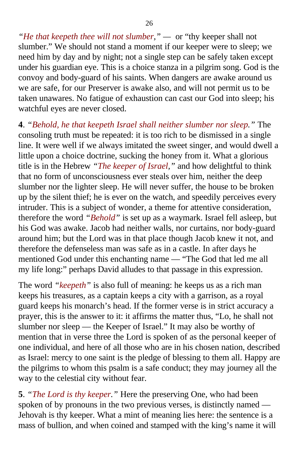"*He that keepeth thee will not slumber*," — or "thy keeper shall not slumber." We should not stand a moment if our keeper were to sleep; we need him by day and by night; not a single step can be safely taken except under his guardian eye. This is a choice stanza in a pilgrim song. God is the convoy and body-guard of his saints. When dangers are awake around us we are safe, for our Preserver is awake also, and will not permit us to be taken unawares. No fatigue of exhaustion can cast our God into sleep; his watchful eyes are never closed.

**4**. *"Behold, he that keepeth Israel shall neither slumber nor sleep."* The consoling truth must be repeated: it is too rich to be dismissed in a single line. It were well if we always imitated the sweet singer, and would dwell a little upon a choice doctrine, sucking the honey from it. What a glorious title is in the Hebrew *"The keeper of Israel,"* and how delightful to think that no form of unconsciousness ever steals over him, neither the deep slumber nor the lighter sleep. He will never suffer, the house to be broken up by the silent thief; he is ever on the watch, and speedily perceives every intruder. This is a subject of wonder, a theme for attentive consideration, therefore the word *"Behold"* is set up as a waymark. Israel fell asleep, but his God was awake. Jacob had neither walls, nor curtains, nor body-guard around him; but the Lord was in that place though Jacob knew it not, and therefore the defenseless man was safe as in a castle. In after days he mentioned God under this enchanting name — "The God that led me all my life long:" perhaps David alludes to that passage in this expression.

The word *"keepeth"* is also full of meaning: he keeps us as a rich man keeps his treasures, as a captain keeps a city with a garrison, as a royal guard keeps his monarch's head. If the former verse is in strict accuracy a prayer, this is the answer to it: it affirms the matter thus, "Lo, he shall not slumber nor sleep — the Keeper of Israel." It may also be worthy of mention that in verse three the Lord is spoken of as the personal keeper of one individual, and here of all those who are in his chosen nation, described as Israel: mercy to one saint is the pledge of blessing to them all. Happy are the pilgrims to whom this psalm is a safe conduct; they may journey all the way to the celestial city without fear.

**5**. *"The Lord is thy keeper."* Here the preserving One, who had been spoken of by pronouns in the two previous verses, is distinctly named — Jehovah is thy keeper. What a mint of meaning lies here: the sentence is a mass of bullion, and when coined and stamped with the king's name it will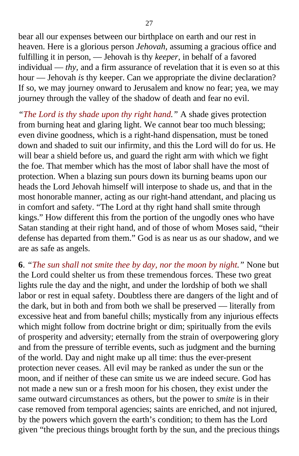bear all our expenses between our birthplace on earth and our rest in heaven. Here is a glorious person *Jehovah,* assuming a gracious office and fulfilling it in person, — Jehovah is thy *keeper,* in behalf of a favored individual —  $thy$ , and a firm assurance of revelation that it is even so at this hour — Jehovah *is* thy keeper. Can we appropriate the divine declaration? If so, we may journey onward to Jerusalem and know no fear; yea, we may journey through the valley of the shadow of death and fear no evil.

*"The Lord is thy shade upon thy right hand."* A shade gives protection from burning heat and glaring light. We cannot bear too much blessing; even divine goodness, which is a right-hand dispensation, must be toned down and shaded to suit our infirmity, and this the Lord will do for us. He will bear a shield before us, and guard the right arm with which we fight the foe. That member which has the most of labor shall have the most of protection. When a blazing sun pours down its burning beams upon our heads the Lord Jehovah himself will interpose to shade us, and that in the most honorable manner, acting as our right-hand attendant, and placing us in comfort and safety. "The Lord at thy right hand shall smite through kings." How different this from the portion of the ungodly ones who have Satan standing at their right hand, and of those of whom Moses said, "their defense has departed from them." God is as near us as our shadow, and we are as safe as angels.

**6**. *"The sun shall not smite thee by day, nor the moon by night."* None but the Lord could shelter us from these tremendous forces. These two great lights rule the day and the night, and under the lordship of both we shall labor or rest in equal safety. Doubtless there are dangers of the light and of the dark, but in both and from both we shall be preserved — literally from excessive heat and from baneful chills; mystically from any injurious effects which might follow from doctrine bright or dim; spiritually from the evils of prosperity and adversity; eternally from the strain of overpowering glory and from the pressure of terrible events, such as judgment and the burning of the world. Day and night make up all time: thus the ever-present protection never ceases. All evil may be ranked as under the sun or the moon, and if neither of these can smite us we are indeed secure. God has not made a new sun or a fresh moon for his chosen, they exist under the same outward circumstances as others, but the power to *smite* is in their case removed from temporal agencies; saints are enriched, and not injured, by the powers which govern the earth's condition; to them has the Lord given "the precious things brought forth by the sun, and the precious things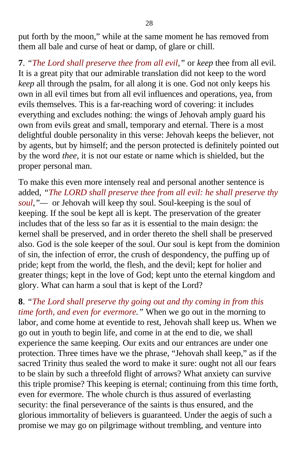put forth by the moon," while at the same moment he has removed from them all bale and curse of heat or damp, of glare or chill.

**7**. *"The Lord shall preserve thee from all evil,"* or *keep* thee from all evil. It is a great pity that our admirable translation did not keep to the word *keep* all through the psalm, for all along it is one. God not only keeps his own in all evil times but from all evil influences and operations, yea, from evils themselves. This is a far-reaching word of covering: it includes everything and excludes nothing: the wings of Jehovah amply guard his own from evils great and small, temporary and eternal. There is a most delightful double personality in this verse: Jehovah keeps the believer, not by agents, but by himself; and the person protected is definitely pointed out by the word *thee,* it is not our estate or name which is shielded, but the proper personal man.

To make this even more intensely real and personal another sentence is added, *"The LORD shall preserve thee from all evil: he shall preserve thy soul,"—* or Jehovah will keep thy soul. Soul-keeping is the soul of keeping. If the soul be kept all is kept. The preservation of the greater includes that of the less so far as it is essential to the main design: the kernel shall be preserved, and in order thereto the shell shall be preserved also. God is the sole keeper of the soul. Our soul is kept from the dominion of sin, the infection of error, the crush of despondency, the puffing up of pride; kept from the world, the flesh, and the devil; kept for holier and greater things; kept in the love of God; kept unto the eternal kingdom and glory. What can harm a soul that is kept of the Lord?

**8**. *"The Lord shall preserve thy going out and thy coming in from this time forth, and even for evermore."* When we go out in the morning to labor, and come home at eventide to rest, Jehovah shall keep us. When we go out in youth to begin life, and come in at the end to die, we shall experience the same keeping. Our exits and our entrances are under one protection. Three times have we the phrase, "Jehovah shall keep," as if the sacred Trinity thus sealed the word to make it sure: ought not all our fears to be slain by such a threefold flight of arrows? What anxiety can survive this triple promise? This keeping is eternal; continuing from this time forth, even for evermore. The whole church is thus assured of everlasting security: the final perseverance of the saints is thus ensured, and the glorious immortality of believers is guaranteed. Under the aegis of such a promise we may go on pilgrimage without trembling, and venture into